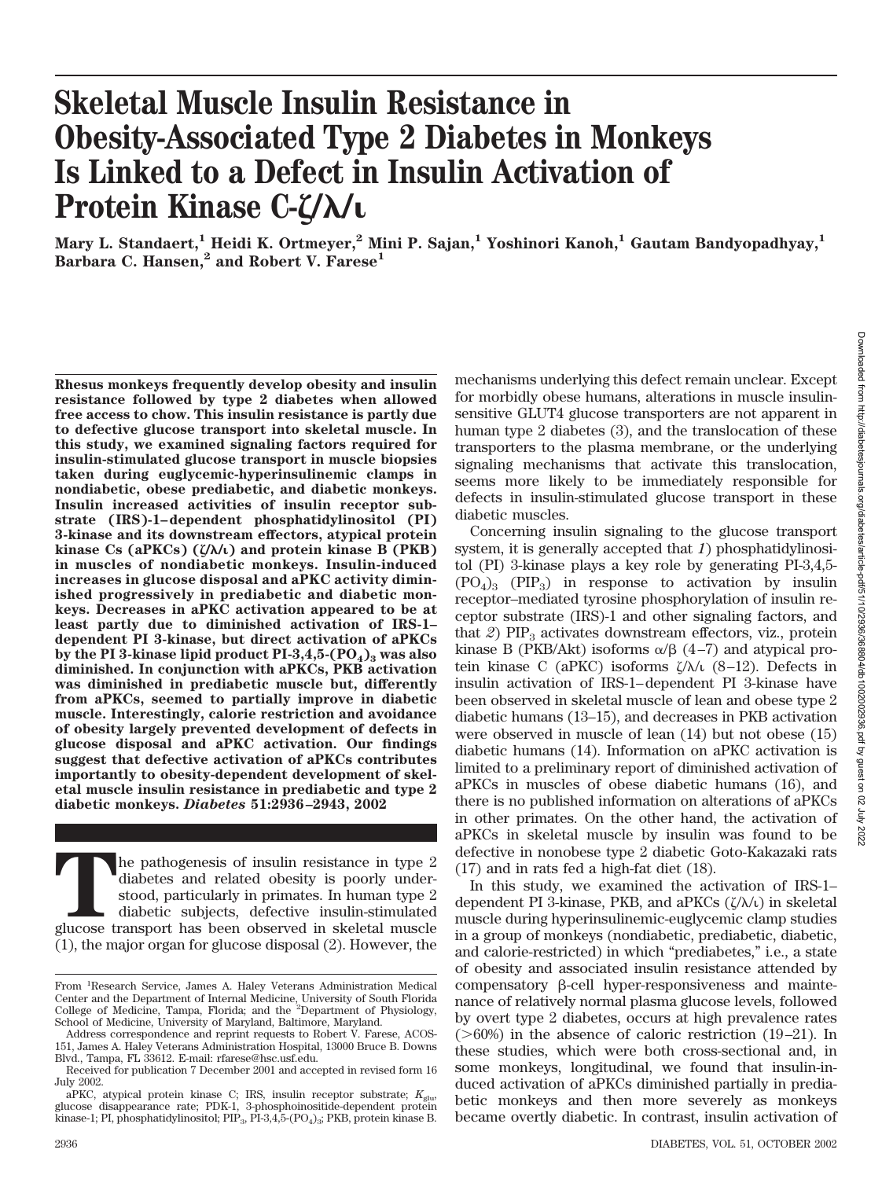# **Skeletal Muscle Insulin Resistance in Obesity-Associated Type 2 Diabetes in Monkeys Is Linked to a Defect in Insulin Activation of Protein Kinase C-/**-**/**

**Mary L. Standaert,1 Heidi K. Ortmeyer,2 Mini P. Sajan,1 Yoshinori Kanoh,1 Gautam Bandyopadhyay,1 Barbara C. Hansen,2 and Robert V. Farese1**

**Rhesus monkeys frequently develop obesity and insulin resistance followed by type 2 diabetes when allowed free access to chow. This insulin resistance is partly due to defective glucose transport into skeletal muscle. In this study, we examined signaling factors required for insulin-stimulated glucose transport in muscle biopsies taken during euglycemic-hyperinsulinemic clamps in nondiabetic, obese prediabetic, and diabetic monkeys. Insulin increased activities of insulin receptor substrate (IRS)-1–dependent phosphatidylinositol (PI) 3-kinase and its downstream effectors, atypical protein kinase Cs (aPKCs) (/**-**/) and protein kinase B (PKB) in muscles of nondiabetic monkeys. Insulin-induced increases in glucose disposal and aPKC activity diminished progressively in prediabetic and diabetic monkeys. Decreases in aPKC activation appeared to be at least partly due to diminished activation of IRS-1– dependent PI 3-kinase, but direct activation of aPKCs** by the PI 3-kinase lipid product  $PI-3,4,5-(PO_4)$ <sub>3</sub> was also **diminished. In conjunction with aPKCs, PKB activation was diminished in prediabetic muscle but, differently from aPKCs, seemed to partially improve in diabetic muscle. Interestingly, calorie restriction and avoidance of obesity largely prevented development of defects in glucose disposal and aPKC activation. Our findings suggest that defective activation of aPKCs contributes importantly to obesity-dependent development of skeletal muscle insulin resistance in prediabetic and type 2 diabetic monkeys.** *Diabetes* **51:2936–2943, 2002**

The pathogenesis of insulin resistance in type 2 diabetes and related obesity is poorly understood, particularly in primates. In human type 2 diabetic subjects, defective insulin-stimulated glucose transport has been obser diabetes and related obesity is poorly understood, particularly in primates. In human type 2 diabetic subjects, defective insulin-stimulated (1), the major organ for glucose disposal (2). However, the

mechanisms underlying this defect remain unclear. Except for morbidly obese humans, alterations in muscle insulinsensitive GLUT4 glucose transporters are not apparent in human type 2 diabetes (3), and the translocation of these transporters to the plasma membrane, or the underlying signaling mechanisms that activate this translocation, seems more likely to be immediately responsible for defects in insulin-stimulated glucose transport in these diabetic muscles.

Concerning insulin signaling to the glucose transport system, it is generally accepted that *1*) phosphatidylinositol (PI) 3-kinase plays a key role by generating PI-3,4,5-  $(PO<sub>4</sub>)<sub>3</sub>$  (PIP<sub>3</sub>) in response to activation by insulin receptor–mediated tyrosine phosphorylation of insulin receptor substrate (IRS)-1 and other signaling factors, and that  $2$ )  $PIP<sub>3</sub>$  activates downstream effectors, viz., protein kinase B (PKB/Akt) isoforms  $\alpha/\beta$  (4–7) and atypical protein kinase C (aPKC) isoforms  $\zeta/\lambda$  (8–12). Defects in insulin activation of IRS-1–dependent PI 3-kinase have been observed in skeletal muscle of lean and obese type 2 diabetic humans (13–15), and decreases in PKB activation were observed in muscle of lean (14) but not obese (15) diabetic humans (14). Information on aPKC activation is limited to a preliminary report of diminished activation of aPKCs in muscles of obese diabetic humans (16), and there is no published information on alterations of aPKCs in other primates. On the other hand, the activation of aPKCs in skeletal muscle by insulin was found to be defective in nonobese type 2 diabetic Goto-Kakazaki rats (17) and in rats fed a high-fat diet (18).

In this study, we examined the activation of IRS-1– dependent PI 3-kinase, PKB, and aPKCs  $(\zeta/\lambda/\iota)$  in skeletal muscle during hyperinsulinemic-euglycemic clamp studies in a group of monkeys (nondiabetic, prediabetic, diabetic, and calorie-restricted) in which "prediabetes," i.e., a state of obesity and associated insulin resistance attended by  $compensatory$   $\beta$ -cell hyper-responsiveness and maintenance of relatively normal plasma glucose levels, followed by overt type 2 diabetes, occurs at high prevalence rates  $($ >60%) in the absence of caloric restriction (19–21). In these studies, which were both cross-sectional and, in some monkeys, longitudinal, we found that insulin-induced activation of aPKCs diminished partially in prediabetic monkeys and then more severely as monkeys became overtly diabetic. In contrast, insulin activation of

From <sup>1</sup> Research Service, James A. Haley Veterans Administration Medical Center and the Department of Internal Medicine, University of South Florida College of Medicine, Tampa, Florida; and the <sup>2</sup> Department of Physiology, School of Medicine, University of Maryland, Baltimore, Maryland.

Address correspondence and reprint requests to Robert V. Farese, ACOS-151, James A. Haley Veterans Administration Hospital, 13000 Bruce B. Downs Blvd., Tampa, FL 33612. E-mail: rfarese@hsc.usf.edu.

Received for publication 7 December 2001 and accepted in revised form 16 July 2002.

aPKC, atypical protein kinase C; IRS, insulin receptor substrate;  $K_{\text{glue}}$ glucose disappearance rate; PDK-1, 3-phosphoinositide-dependent protein kinase-1; PI, phosphatidylinositol;  $\text{PIP}_3$ ,  $\text{PI-3,4,5-(PO_4)_3}$ ; PKB, protein kinase B.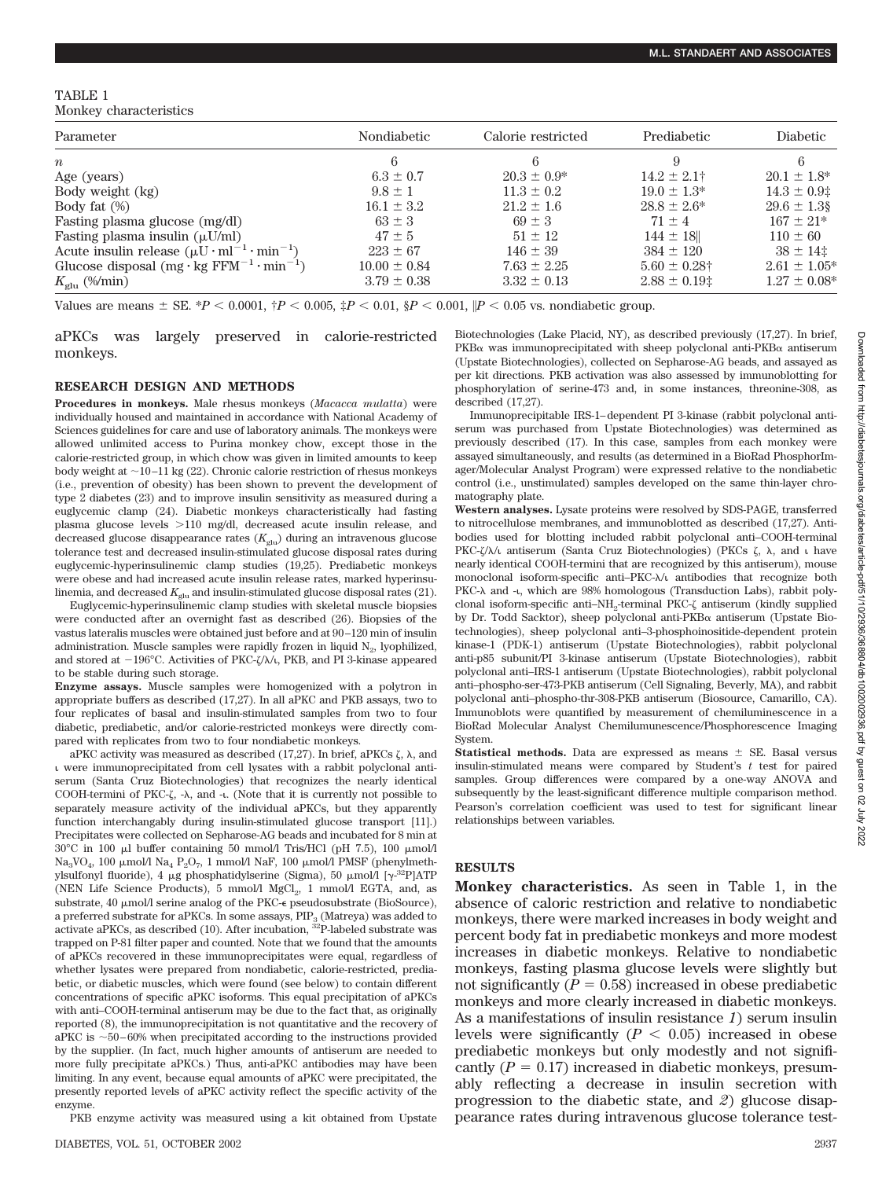## TABLE 1 Monkey characteristics

| Parameter                                                                     | <b>Nondiabetic</b> | Calorie restricted | Prediabetic           | Diabetic          |
|-------------------------------------------------------------------------------|--------------------|--------------------|-----------------------|-------------------|
| $\boldsymbol{n}$                                                              | 6                  |                    |                       |                   |
| Age (years)                                                                   | $6.3 \pm 0.7$      | $20.3 \pm 0.9^*$   | $14.2 \pm 2.1^+$      | $20.1 \pm 1.8^*$  |
| Body weight (kg)                                                              | $9.8 \pm 1$        | $11.3 \pm 0.2$     | $19.0 \pm 1.3^*$      | $14.3 \pm 0.9$ :  |
| Body fat $(\%)$                                                               | $16.1 \pm 3.2$     | $21.2 \pm 1.6$     | $28.8 \pm 2.6^*$      | $29.6 \pm 1.3$ §  |
| Fasting plasma glucose (mg/dl)                                                | $63 \pm 3$         | $69 \pm 3$         | $71 + 4$              | $167 \pm 21*$     |
| Fasting plasma insulin $(\mu U/ml)$                                           | $47 + 5$           | $51 \pm 12$        | $144 \pm 18$          | $110 \pm 60$      |
| Acute insulin release $(\mu U \cdot ml^{-1} \cdot min^{-1})$                  | $223 \pm 67$       | $146 \pm 39$       | $384 \pm 120$         | $38 \pm 14$ :     |
| Glucose disposal $(mg \cdot kg$ FFM <sup>-1</sup> $\cdot$ min <sup>-1</sup> ) | $10.00 \pm 0.84$   | $7.63 \pm 2.25$    | $5.60 \pm 0.28$ †     | $2.61 \pm 1.05^*$ |
| $K_{\text{glu}}$ (%/min)                                                      | $3.79 \pm 0.38$    | $3.32 \pm 0.13$    | $2.88 \pm 0.19$ $\pm$ | $1.27 \pm 0.08^*$ |

Values are means  $\pm$  SE. \**P* < 0.0001,  $\uparrow P$  < 0.005,  $\uparrow P$  < 0.01,  $\downarrow P$  < 0.001,  $\uparrow P$  < 0.05 vs. nondiabetic group.

aPKCs was largely preserved in calorie-restricted monkeys.

## **RESEARCH DESIGN AND METHODS**

**Procedures in monkeys.** Male rhesus monkeys (*Macacca mulatta*) were individually housed and maintained in accordance with National Academy of Sciences guidelines for care and use of laboratory animals. The monkeys were allowed unlimited access to Purina monkey chow, except those in the calorie-restricted group, in which chow was given in limited amounts to keep body weight at  $\sim$  10–11 kg (22). Chronic calorie restriction of rhesus monkeys (i.e., prevention of obesity) has been shown to prevent the development of type 2 diabetes (23) and to improve insulin sensitivity as measured during a euglycemic clamp (24). Diabetic monkeys characteristically had fasting plasma glucose levels >110 mg/dl, decreased acute insulin release, and decreased glucose disappearance rates  $(K_{\text{glu}})$  during an intravenous glucose tolerance test and decreased insulin-stimulated glucose disposal rates during euglycemic-hyperinsulinemic clamp studies (19,25). Prediabetic monkeys were obese and had increased acute insulin release rates, marked hyperinsulinemia, and decreased  $K_{\text{glu}}$  and insulin-stimulated glucose disposal rates (21).

Euglycemic-hyperinsulinemic clamp studies with skeletal muscle biopsies were conducted after an overnight fast as described (26). Biopsies of the vastus lateralis muscles were obtained just before and at 90–120 min of insulin administration. Muscle samples were rapidly frozen in liquid  $N_2$ , lyophilized, and stored at  $-196^{\circ}$ C. Activities of PKC- $\zeta/\lambda/\iota$ , PKB, and PI 3-kinase appeared to be stable during such storage.

**Enzyme assays.** Muscle samples were homogenized with a polytron in appropriate buffers as described (17,27). In all aPKC and PKB assays, two to four replicates of basal and insulin-stimulated samples from two to four diabetic, prediabetic, and/or calorie-restricted monkeys were directly compared with replicates from two to four nondiabetic monkeys.

aPKC activity was measured as described (17,27). In brief, aPKCs  $\zeta$ ,  $\lambda$ , and were immunoprecipitated from cell lysates with a rabbit polyclonal antiserum (Santa Cruz Biotechnologies) that recognizes the nearly identical COOH-termini of PKC- $\zeta$ , - $\lambda$ , and -**i**. (Note that it is currently not possible to separately measure activity of the individual aPKCs, but they apparently function interchangably during insulin-stimulated glucose transport [11].) Precipitates were collected on Sepharose-AG beads and incubated for 8 min at  $30^{\circ}$ C in 100 µl buffer containing 50 mmol/l Tris/HCl (pH 7.5), 100 µmol/l Na<sub>3</sub>VO<sub>4</sub>, 100 µmol/l Na<sub>4</sub> P<sub>2</sub>O<sub>7</sub>, 1 mmol/l NaF, 100 µmol/l PMSF (phenylmethylsulfonyl fluoride), 4  $\mu$ g phosphatidylserine (Sigma), 50  $\mu$ mol/l [ $\gamma$ -<sup>32</sup>P]ATP (NEN Life Science Products), 5 mmol/l MgCl2, 1 mmol/l EGTA, and, as substrate, 40 µmol/l serine analog of the PKC- $\epsilon$  pseudosubstrate (BioSource), a preferred substrate for aPKCs. In some assays,  $\text{PIP}_3$  (Matreya) was added to activate aPKCs, as described (10). After incubation,  $^{32}$ P-labeled substrate was trapped on P-81 filter paper and counted. Note that we found that the amounts of aPKCs recovered in these immunoprecipitates were equal, regardless of whether lysates were prepared from nondiabetic, calorie-restricted, prediabetic, or diabetic muscles, which were found (see below) to contain different concentrations of specific aPKC isoforms. This equal precipitation of aPKCs with anti–COOH-terminal antiserum may be due to the fact that, as originally reported (8), the immunoprecipitation is not quantitative and the recovery of aPKC is  $\sim$  50–60% when precipitated according to the instructions provided by the supplier. (In fact, much higher amounts of antiserum are needed to more fully precipitate aPKCs.) Thus, anti-aPKC antibodies may have been limiting. In any event, because equal amounts of aPKC were precipitated, the presently reported levels of aPKC activity reflect the specific activity of the enzyme.

PKB enzyme activity was measured using a kit obtained from Upstate

Biotechnologies (Lake Placid, NY), as described previously (17,27). In brief,  $PKB\alpha$  was immunoprecipitated with sheep polyclonal anti- $PKB\alpha$  antiserum (Upstate Biotechnologies), collected on Sepharose-AG beads, and assayed as per kit directions. PKB activation was also assessed by immunoblotting for phosphorylation of serine-473 and, in some instances, threonine-308, as described (17,27).

Immunoprecipitable IRS-1–dependent PI 3-kinase (rabbit polyclonal antiserum was purchased from Upstate Biotechnologies) was determined as previously described (17). In this case, samples from each monkey were assayed simultaneously, and results (as determined in a BioRad PhosphorImager/Molecular Analyst Program) were expressed relative to the nondiabetic control (i.e., unstimulated) samples developed on the same thin-layer chromatography plate.

**Western analyses.** Lysate proteins were resolved by SDS-PAGE, transferred to nitrocellulose membranes, and immunoblotted as described (17,27). Antibodies used for blotting included rabbit polyclonal anti–COOH-terminal PKC- $\zeta/\lambda\zeta$  antiserum (Santa Cruz Biotechnologies) (PKCs  $\zeta$ ,  $\lambda$ , and  $\zeta$  have nearly identical COOH-termini that are recognized by this antiserum), mouse monoclonal isoform-specific anti-PKC- $\lambda/\iota$  antibodies that recognize both PKC- $\lambda$  and -t, which are 98% homologous (Transduction Labs), rabbit polyclonal isoform-specific anti-NH<sub>2</sub>-terminal PKC- $\zeta$  antiserum (kindly supplied by Dr. Todd Sacktor), sheep polyclonal anti- $PKB\alpha$  antiserum (Upstate Biotechnologies), sheep polyclonal anti–3-phosphoinositide-dependent protein kinase-1 (PDK-1) antiserum (Upstate Biotechnologies), rabbit polyclonal anti-p85 subunit/PI 3-kinase antiserum (Upstate Biotechnologies), rabbit polyclonal anti–IRS-1 antiserum (Upstate Biotechnologies), rabbit polyclonal anti–phospho-ser-473-PKB antiserum (Cell Signaling, Beverly, MA), and rabbit polyclonal anti–phospho-thr-308-PKB antiserum (Biosource, Camarillo, CA). Immunoblots were quantified by measurement of chemiluminescence in a BioRad Molecular Analyst Chemilumunescence/Phosphorescence Imaging System.

**Statistical methods.** Data are expressed as means  $\pm$  SE. Basal versus insulin-stimulated means were compared by Student's *t* test for paired samples. Group differences were compared by a one-way ANOVA and subsequently by the least-significant difference multiple comparison method. Pearson's correlation coefficient was used to test for significant linear relationships between variables.

## **RESULTS**

**Monkey characteristics.** As seen in Table 1, in the absence of caloric restriction and relative to nondiabetic monkeys, there were marked increases in body weight and percent body fat in prediabetic monkeys and more modest increases in diabetic monkeys. Relative to nondiabetic monkeys, fasting plasma glucose levels were slightly but not significantly  $(P = 0.58)$  increased in obese prediabetic monkeys and more clearly increased in diabetic monkeys. As a manifestations of insulin resistance *1*) serum insulin levels were significantly  $(P < 0.05)$  increased in obese prediabetic monkeys but only modestly and not significantly  $(P = 0.17)$  increased in diabetic monkeys, presumably reflecting a decrease in insulin secretion with progression to the diabetic state, and *2*) glucose disappearance rates during intravenous glucose tolerance test-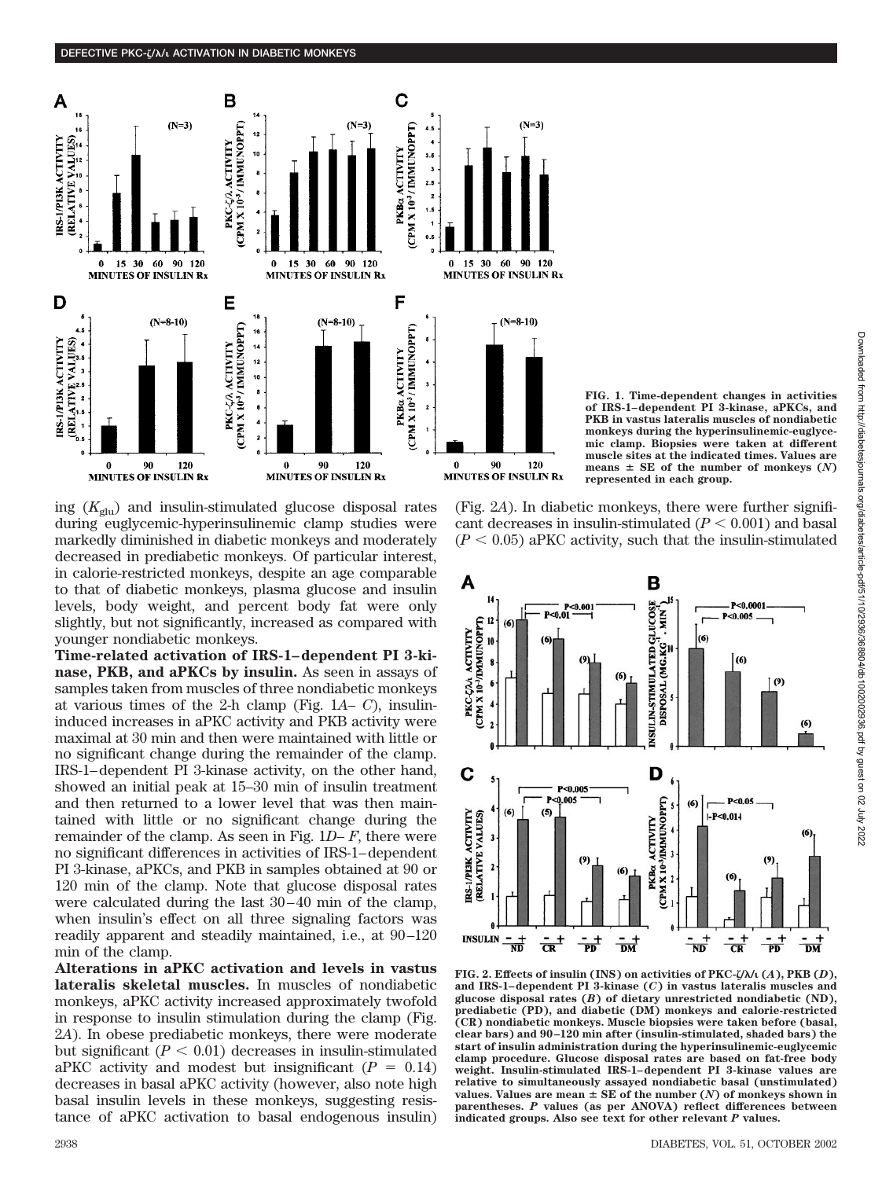

**FIG. 1. Time-dependent changes in activities of IRS-1–dependent PI 3-kinase, aPKCs, and PKB in vastus lateralis muscles of nondiabetic monkeys during the hyperinsulinemic-euglycemic clamp. Biopsies were taken at different muscle sites at the indicated times. Values are** means  $\pm$  SE of the number of monkeys  $(N)$ **represented in each group.**

ing  $(K_{glu})$  and insulin-stimulated glucose disposal rates during euglycemic-hyperinsulinemic clamp studies were markedly diminished in diabetic monkeys and moderately decreased in prediabetic monkeys. Of particular interest, in calorie-restricted monkeys, despite an age comparable to that of diabetic monkeys, plasma glucose and insulin levels, body weight, and percent body fat were only slightly, but not significantly, increased as compared with younger nondiabetic monkeys.

**Time-related activation of IRS-1–dependent PI 3-kinase, PKB, and aPKCs by insulin.** As seen in assays of samples taken from muscles of three nondiabetic monkeys at various times of the 2-h clamp (Fig. 1*A*– *C*), insulininduced increases in aPKC activity and PKB activity were maximal at 30 min and then were maintained with little or no significant change during the remainder of the clamp. IRS-1–dependent PI 3-kinase activity, on the other hand, showed an initial peak at 15–30 min of insulin treatment and then returned to a lower level that was then maintained with little or no significant change during the remainder of the clamp. As seen in Fig. 1*D*– *F*, there were no significant differences in activities of IRS-1–dependent PI 3-kinase, aPKCs, and PKB in samples obtained at 90 or 120 min of the clamp. Note that glucose disposal rates were calculated during the last 30–40 min of the clamp, when insulin's effect on all three signaling factors was readily apparent and steadily maintained, i.e., at 90–120 min of the clamp.

**Alterations in aPKC activation and levels in vastus lateralis skeletal muscles.** In muscles of nondiabetic monkeys, aPKC activity increased approximately twofold in response to insulin stimulation during the clamp (Fig. 2*A*). In obese prediabetic monkeys, there were moderate but significant  $(P < 0.01)$  decreases in insulin-stimulated aPKC activity and modest but insignificant  $(P = 0.14)$ decreases in basal aPKC activity (however, also note high basal insulin levels in these monkeys, suggesting resistance of aPKC activation to basal endogenous insulin)

(Fig. 2*A*). In diabetic monkeys, there were further significant decreases in insulin-stimulated  $(P < 0.001)$  and basal  $(P < 0.05)$  aPKC activity, such that the insulin-stimulated



**FIG. 2. Effects of insulin (INS) on activities of PKC-/**-**/ (***A***), PKB (***D***), and IRS-1–dependent PI 3-kinase (***C***) in vastus lateralis muscles and glucose disposal rates (***B***) of dietary unrestricted nondiabetic (ND), prediabetic (PD), and diabetic (DM) monkeys and calorie-restricted (CR) nondiabetic monkeys. Muscle biopsies were taken before (basal, clear bars) and 90–120 min after (insulin-stimulated, shaded bars) the start of insulin administration during the hyperinsulinemic-euglycemic clamp procedure. Glucose disposal rates are based on fat-free body weight. Insulin-stimulated IRS-1–dependent PI 3-kinase values are relative to simultaneously assayed nondiabetic basal (unstimulated)** values. Values are mean  $\pm$  SE of the number  $(N)$  of monkeys shown in **parentheses.** *P* **values (as per ANOVA) reflect differences between indicated groups. Also see text for other relevant** *P* **values.**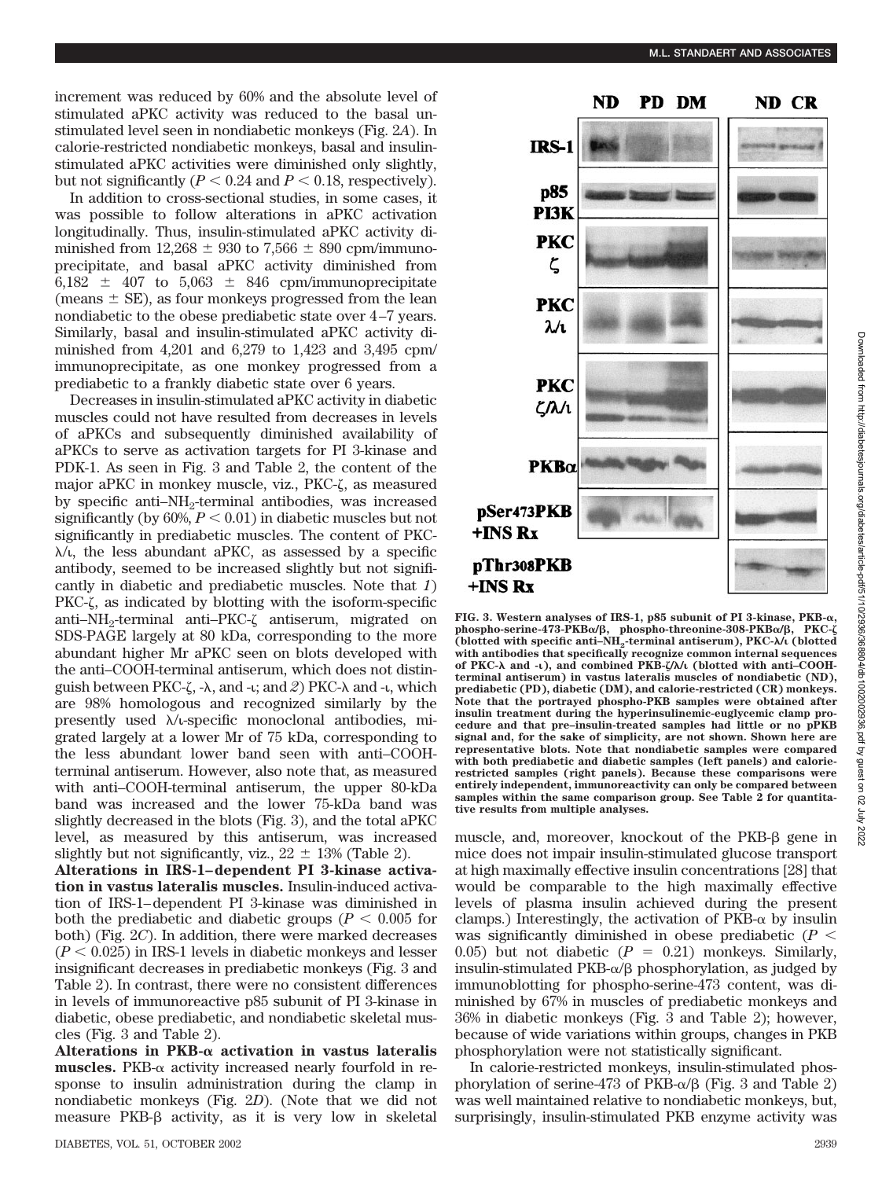increment was reduced by 60% and the absolute level of stimulated aPKC activity was reduced to the basal unstimulated level seen in nondiabetic monkeys (Fig. 2*A*). In calorie-restricted nondiabetic monkeys, basal and insulinstimulated aPKC activities were diminished only slightly, but not significantly  $(P < 0.24$  and  $P < 0.18$ , respectively).

In addition to cross-sectional studies, in some cases, it was possible to follow alterations in aPKC activation longitudinally. Thus, insulin-stimulated aPKC activity diminished from  $12,268 \pm 930$  to  $7,566 \pm 890$  cpm/immunoprecipitate, and basal aPKC activity diminished from 6,182  $\pm$  407 to 5,063  $\pm$  846 cpm/immunoprecipitate (means  $\pm$  SE), as four monkeys progressed from the lean nondiabetic to the obese prediabetic state over 4–7 years. Similarly, basal and insulin-stimulated aPKC activity diminished from 4,201 and 6,279 to 1,423 and 3,495 cpm/ immunoprecipitate, as one monkey progressed from a prediabetic to a frankly diabetic state over 6 years.

Decreases in insulin-stimulated aPKC activity in diabetic muscles could not have resulted from decreases in levels of aPKCs and subsequently diminished availability of aPKCs to serve as activation targets for PI 3-kinase and PDK-1. As seen in Fig. 3 and Table 2, the content of the major aPKC in monkey muscle, viz.,  $PKC-\zeta$ , as measured by specific anti- $NH_2$ -terminal antibodies, was increased significantly (by  $60\%, P < 0.01$ ) in diabetic muscles but not significantly in prediabetic muscles. The content of PKC-  $\lambda/\mu$ , the less abundant aPKC, as assessed by a specific antibody, seemed to be increased slightly but not significantly in diabetic and prediabetic muscles. Note that *1*)  $PKC-\zeta$ , as indicated by blotting with the isoform-specific anti–NH<sub>2</sub>-terminal anti–PKC- $\zeta$  antiserum, migrated on SDS-PAGE largely at 80 kDa, corresponding to the more abundant higher Mr aPKC seen on blots developed with the anti–COOH-terminal antiserum, which does not distinguish between PKC- $\zeta$ ,  $-\lambda$ , and  $-\iota$ ; and  $\zeta$ ) PKC- $\lambda$  and  $-\iota$ , which are 98% homologous and recognized similarly by the presently used  $\lambda$ / $\iota$ -specific monoclonal antibodies, migrated largely at a lower Mr of 75 kDa, corresponding to the less abundant lower band seen with anti–COOHterminal antiserum. However, also note that, as measured with anti–COOH-terminal antiserum, the upper 80-kDa band was increased and the lower 75-kDa band was slightly decreased in the blots (Fig. 3), and the total aPKC level, as measured by this antiserum, was increased slightly but not significantly, viz.,  $22 \pm 13\%$  (Table 2).

**Alterations in IRS-1–dependent PI 3-kinase activation in vastus lateralis muscles.** Insulin-induced activation of IRS-1–dependent PI 3-kinase was diminished in both the prediabetic and diabetic groups ( $P < 0.005$  for both) (Fig. 2*C*). In addition, there were marked decreases  $(P < 0.025)$  in IRS-1 levels in diabetic monkeys and lesser insignificant decreases in prediabetic monkeys (Fig. 3 and Table 2). In contrast, there were no consistent differences in levels of immunoreactive p85 subunit of PI 3-kinase in diabetic, obese prediabetic, and nondiabetic skeletal muscles (Fig. 3 and Table 2).

Alterations in  $PKB-\alpha$  activation in vastus lateralis **muscles.** PKB- $\alpha$  activity increased nearly fourfold in response to insulin administration during the clamp in nondiabetic monkeys (Fig. 2*D*). (Note that we did not measure  $PKB-\beta$  activity, as it is very low in skeletal



**FIG. 3. Western analyses of IRS-1, p85 subunit of PI 3-kinase, PKB-, phospho-serine-473-PKB/, phospho-threonine-308-PKB/, PKC-** (blotted with specific anti–NH<sub>2</sub>-terminal antiserum), PKC- $\lambda$ /ι (blotted **with antibodies that specifically recognize common internal sequences of PKC-**- **and -), and combined PKB-/**-**/ (blotted with anti–COOHterminal antiserum) in vastus lateralis muscles of nondiabetic (ND), prediabetic (PD), diabetic (DM), and calorie-restricted (CR) monkeys. Note that the portrayed phospho-PKB samples were obtained after insulin treatment during the hyperinsulinemic-euglycemic clamp procedure and that pre–insulin-treated samples had little or no pPKB signal and, for the sake of simplicity, are not shown. Shown here are representative blots. Note that nondiabetic samples were compared with both prediabetic and diabetic samples (left panels) and calorierestricted samples (right panels). Because these comparisons were entirely independent, immunoreactivity can only be compared between samples within the same comparison group. See Table 2 for quantitative results from multiple analyses.**

muscle, and, moreover, knockout of the PKB- $\beta$  gene in mice does not impair insulin-stimulated glucose transport at high maximally effective insulin concentrations [28] that would be comparable to the high maximally effective levels of plasma insulin achieved during the present clamps.) Interestingly, the activation of  $PKB-\alpha$  by insulin was significantly diminished in obese prediabetic  $(P \leq$ 0.05) but not diabetic  $(P = 0.21)$  monkeys. Similarly, insulin-stimulated PKB- $\alpha$ / $\beta$  phosphorylation, as judged by immunoblotting for phospho-serine-473 content, was diminished by 67% in muscles of prediabetic monkeys and 36% in diabetic monkeys (Fig. 3 and Table 2); however, because of wide variations within groups, changes in PKB phosphorylation were not statistically significant.

In calorie-restricted monkeys, insulin-stimulated phosphorylation of serine-473 of  $PKB-\alpha/\beta$  (Fig. 3 and Table 2) was well maintained relative to nondiabetic monkeys, but, surprisingly, insulin-stimulated PKB enzyme activity was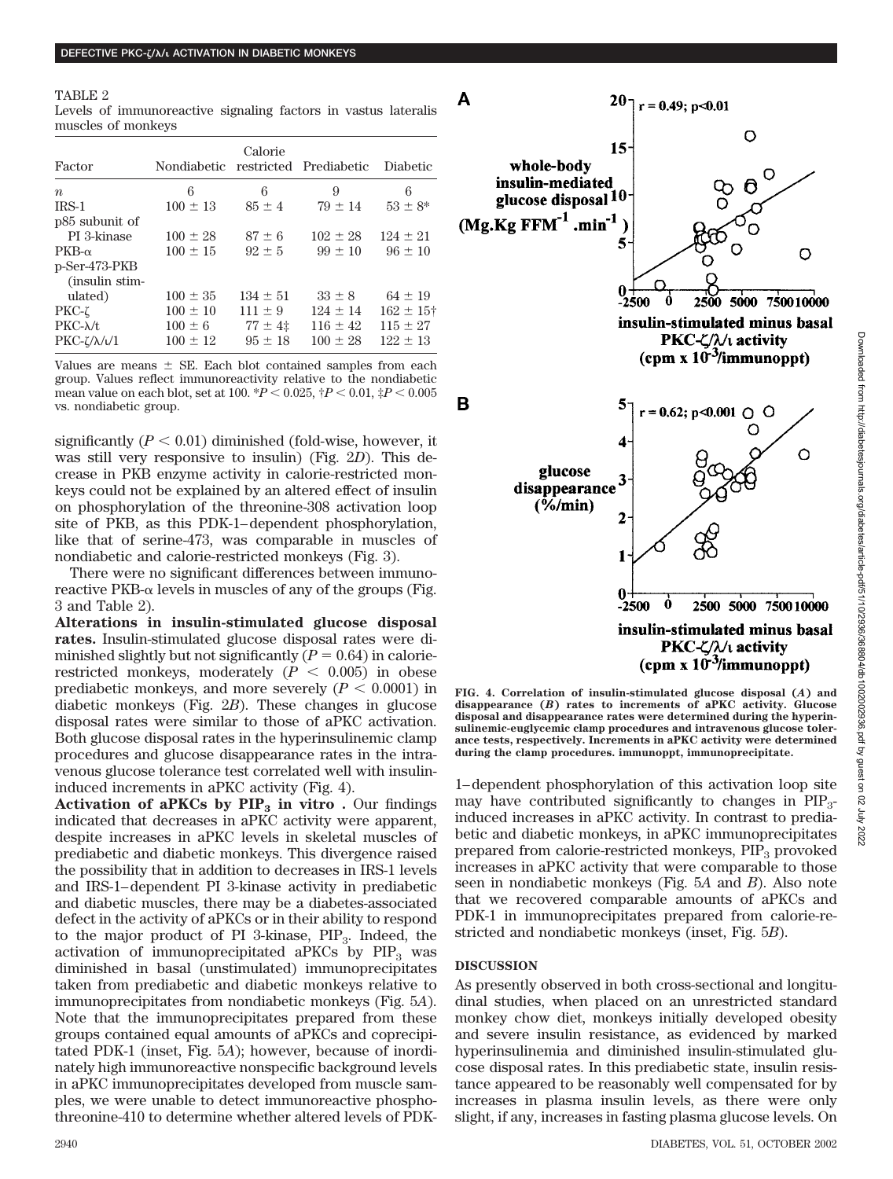| TABLE 2                                                        |  |  |
|----------------------------------------------------------------|--|--|
| Levels of immunoreactive signaling factors in vastus lateralis |  |  |
| muscles of monkeys                                             |  |  |

| Factor                             | Nondiabetic restricted Prediabetic | Calorie      |              | Diabetic             |
|------------------------------------|------------------------------------|--------------|--------------|----------------------|
| $\boldsymbol{n}$                   | 6                                  | 6            | 9            | 6                    |
| $IRS-1$                            | $100 \pm 13$                       | $85 \pm 4$   | $79 \pm 14$  | $53 \pm 8^*$         |
| p <sub>85</sub> subunit of         |                                    |              |              |                      |
| PI 3-kinase                        | $100 \pm 28$                       | $87 \pm 6$   | $102 \pm 28$ | $124 \pm 21$         |
| $PKB-\alpha$                       | $100 \pm 15$                       | $92 \pm 5$   | $.99 \pm 10$ | $96 \pm 10$          |
| p-Ser-473-PKB<br>(insulin stim-    |                                    |              |              |                      |
| ulated)                            | $100 \pm 35$                       | $134 \pm 51$ | $33 \pm 8$   | $64 \pm 19$          |
| $PKC-\zeta$                        | $100 \pm 10$                       | $111 \pm 9$  | $124 \pm 14$ | $162 \pm 15^{\circ}$ |
| $PKC-\lambda/t$                    | $100 \pm 6$                        | $77 \pm 41$  | $116 \pm 42$ | $115 \pm 27$         |
| $PKC-\frac{\chi}{\lambda}\sqrt{1}$ | $100 \pm 12$                       | $95 \pm 18$  | $100 \pm 28$ | $122 \pm 13$         |

Values are means  $\pm$  SE. Each blot contained samples from each group. Values reflect immunoreactivity relative to the nondiabetic mean value on each blot, set at 100.  ${}^*P$  < 0.025,  ${}^{\dagger}P$  < 0.01,  ${}^{\ddagger}P$  < 0.005 vs. nondiabetic group.

significantly  $(P < 0.01)$  diminished (fold-wise, however, it was still very responsive to insulin) (Fig. 2*D*). This decrease in PKB enzyme activity in calorie-restricted monkeys could not be explained by an altered effect of insulin on phosphorylation of the threonine-308 activation loop site of PKB, as this PDK-1–dependent phosphorylation, like that of serine-473, was comparable in muscles of nondiabetic and calorie-restricted monkeys (Fig. 3).

There were no significant differences between immunoreactive  $PKB-\alpha$  levels in muscles of any of the groups (Fig. 3 and Table 2).

**Alterations in insulin-stimulated glucose disposal rates.** Insulin-stimulated glucose disposal rates were diminished slightly but not significantly  $(P = 0.64)$  in calorierestricted monkeys, moderately  $(P < 0.005)$  in obese prediabetic monkeys, and more severely  $(P < 0.0001)$  in diabetic monkeys (Fig. 2*B*). These changes in glucose disposal rates were similar to those of aPKC activation. Both glucose disposal rates in the hyperinsulinemic clamp procedures and glucose disappearance rates in the intravenous glucose tolerance test correlated well with insulininduced increments in aPKC activity (Fig. 4).

**Activation of aPKCs by**  $\text{PIP}_3$  **in vitro .** Our findings indicated that decreases in aPKC activity were apparent, despite increases in aPKC levels in skeletal muscles of prediabetic and diabetic monkeys. This divergence raised the possibility that in addition to decreases in IRS-1 levels and IRS-1–dependent PI 3-kinase activity in prediabetic and diabetic muscles, there may be a diabetes-associated defect in the activity of aPKCs or in their ability to respond to the major product of PI 3-kinase,  $PIP_3$ . Indeed, the activation of immunoprecipitated aPKCs by  $PIP_3$  was diminished in basal (unstimulated) immunoprecipitates taken from prediabetic and diabetic monkeys relative to immunoprecipitates from nondiabetic monkeys (Fig. 5*A*). Note that the immunoprecipitates prepared from these groups contained equal amounts of aPKCs and coprecipitated PDK-1 (inset, Fig. 5*A*); however, because of inordinately high immunoreactive nonspecific background levels in aPKC immunoprecipitates developed from muscle samples, we were unable to detect immunoreactive phosphothreonine-410 to determine whether altered levels of PDK-



Downloaded from http://diabetesjournals.org/diabetes/article-pdf/51/10/2936/368804/db1002002936.pdf by guest on 02 Downloaded from http://diabetesjournals.org/diabetes/article-pdf/51/10/2936/368804/db1002002936.pdf by guest on 02 July 2022

2022<br>2022

**FIG. 4. Correlation of insulin-stimulated glucose disposal (***A***) and disappearance (***B***) rates to increments of aPKC activity. Glucose disposal and disappearance rates were determined during the hyperinsulinemic-euglycemic clamp procedures and intravenous glucose tolerance tests, respectively. Increments in aPKC activity were determined during the clamp procedures. immunoppt, immunoprecipitate.**

1–dependent phosphorylation of this activation loop site may have contributed significantly to changes in  $PIP_3$ induced increases in aPKC activity. In contrast to prediabetic and diabetic monkeys, in aPKC immunoprecipitates prepared from calorie-restricted monkeys, PIP<sub>3</sub> provoked increases in aPKC activity that were comparable to those seen in nondiabetic monkeys (Fig. 5*A* and *B*). Also note that we recovered comparable amounts of aPKCs and PDK-1 in immunoprecipitates prepared from calorie-restricted and nondiabetic monkeys (inset, Fig. 5*B*).

### **DISCUSSION**

As presently observed in both cross-sectional and longitudinal studies, when placed on an unrestricted standard monkey chow diet, monkeys initially developed obesity and severe insulin resistance, as evidenced by marked hyperinsulinemia and diminished insulin-stimulated glucose disposal rates. In this prediabetic state, insulin resistance appeared to be reasonably well compensated for by increases in plasma insulin levels, as there were only slight, if any, increases in fasting plasma glucose levels. On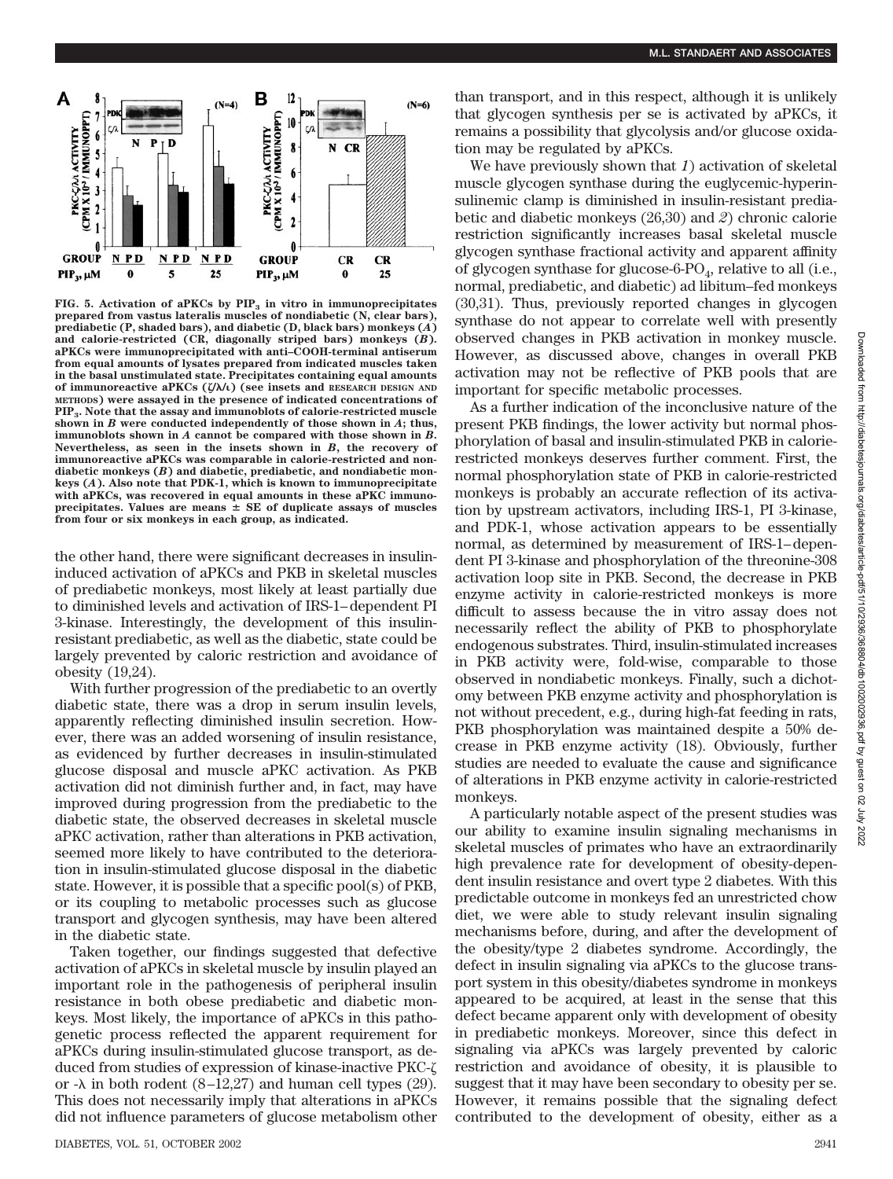

FIG. 5. Activation of aPKCs by PIP<sub>3</sub> in vitro in immunoprecipitates **prepared from vastus lateralis muscles of nondiabetic (N, clear bars), prediabetic (P, shaded bars), and diabetic (D, black bars) monkeys (***A***) and calorie-restricted (CR, diagonally striped bars) monkeys (***B***). aPKCs were immunoprecipitated with anti–COOH-terminal antiserum from equal amounts of lysates prepared from indicated muscles taken in the basal unstimulated state. Precipitates containing equal amounts of immunoreactive aPKCs (/**-**/) (see insets and RESEARCH DESIGN AND METHODS) were assayed in the presence of indicated concentrations of PIP3. Note that the assay and immunoblots of calorie-restricted muscle shown in** *B* **were conducted independently of those shown in** *A***; thus, immunoblots shown in** *A* **cannot be compared with those shown in** *B***. Nevertheless, as seen in the insets shown in** *B***, the recovery of immunoreactive aPKCs was comparable in calorie-restricted and nondiabetic monkeys (***B***) and diabetic, prediabetic, and nondiabetic monkeys (***A***). Also note that PDK-1, which is known to immunoprecipitate with aPKCs, was recovered in equal amounts in these aPKC immuno**precipitates. Values are means  $\pm$  SE of duplicate assays of muscles **from four or six monkeys in each group, as indicated.**

the other hand, there were significant decreases in insulininduced activation of aPKCs and PKB in skeletal muscles of prediabetic monkeys, most likely at least partially due to diminished levels and activation of IRS-1–dependent PI 3-kinase. Interestingly, the development of this insulinresistant prediabetic, as well as the diabetic, state could be largely prevented by caloric restriction and avoidance of obesity (19,24).

With further progression of the prediabetic to an overtly diabetic state, there was a drop in serum insulin levels, apparently reflecting diminished insulin secretion. However, there was an added worsening of insulin resistance, as evidenced by further decreases in insulin-stimulated glucose disposal and muscle aPKC activation. As PKB activation did not diminish further and, in fact, may have improved during progression from the prediabetic to the diabetic state, the observed decreases in skeletal muscle aPKC activation, rather than alterations in PKB activation, seemed more likely to have contributed to the deterioration in insulin-stimulated glucose disposal in the diabetic state. However, it is possible that a specific pool(s) of PKB, or its coupling to metabolic processes such as glucose transport and glycogen synthesis, may have been altered in the diabetic state.

Taken together, our findings suggested that defective activation of aPKCs in skeletal muscle by insulin played an important role in the pathogenesis of peripheral insulin resistance in both obese prediabetic and diabetic monkeys. Most likely, the importance of aPKCs in this pathogenetic process reflected the apparent requirement for aPKCs during insulin-stimulated glucose transport, as deduced from studies of expression of kinase-inactive PKC or - $\lambda$  in both rodent (8–12,27) and human cell types (29). This does not necessarily imply that alterations in aPKCs did not influence parameters of glucose metabolism other than transport, and in this respect, although it is unlikely that glycogen synthesis per se is activated by aPKCs, it remains a possibility that glycolysis and/or glucose oxidation may be regulated by aPKCs.

We have previously shown that *1*) activation of skeletal muscle glycogen synthase during the euglycemic-hyperinsulinemic clamp is diminished in insulin-resistant prediabetic and diabetic monkeys (26,30) and *2*) chronic calorie restriction significantly increases basal skeletal muscle glycogen synthase fractional activity and apparent affinity of glycogen synthase for glucose-6- $PO_4$ , relative to all (i.e., normal, prediabetic, and diabetic) ad libitum–fed monkeys (30,31). Thus, previously reported changes in glycogen synthase do not appear to correlate well with presently observed changes in PKB activation in monkey muscle. However, as discussed above, changes in overall PKB activation may not be reflective of PKB pools that are important for specific metabolic processes.

As a further indication of the inconclusive nature of the present PKB findings, the lower activity but normal phosphorylation of basal and insulin-stimulated PKB in calorierestricted monkeys deserves further comment. First, the normal phosphorylation state of PKB in calorie-restricted monkeys is probably an accurate reflection of its activation by upstream activators, including IRS-1, PI 3-kinase, and PDK-1, whose activation appears to be essentially normal, as determined by measurement of IRS-1–dependent PI 3-kinase and phosphorylation of the threonine-308 activation loop site in PKB. Second, the decrease in PKB enzyme activity in calorie-restricted monkeys is more difficult to assess because the in vitro assay does not necessarily reflect the ability of PKB to phosphorylate endogenous substrates. Third, insulin-stimulated increases in PKB activity were, fold-wise, comparable to those observed in nondiabetic monkeys. Finally, such a dichotomy between PKB enzyme activity and phosphorylation is not without precedent, e.g., during high-fat feeding in rats, PKB phosphorylation was maintained despite a 50% decrease in PKB enzyme activity (18). Obviously, further studies are needed to evaluate the cause and significance of alterations in PKB enzyme activity in calorie-restricted monkeys.

A particularly notable aspect of the present studies was our ability to examine insulin signaling mechanisms in skeletal muscles of primates who have an extraordinarily high prevalence rate for development of obesity-dependent insulin resistance and overt type 2 diabetes. With this predictable outcome in monkeys fed an unrestricted chow diet, we were able to study relevant insulin signaling mechanisms before, during, and after the development of the obesity/type 2 diabetes syndrome. Accordingly, the defect in insulin signaling via aPKCs to the glucose transport system in this obesity/diabetes syndrome in monkeys appeared to be acquired, at least in the sense that this defect became apparent only with development of obesity in prediabetic monkeys. Moreover, since this defect in signaling via aPKCs was largely prevented by caloric restriction and avoidance of obesity, it is plausible to suggest that it may have been secondary to obesity per se. However, it remains possible that the signaling defect contributed to the development of obesity, either as a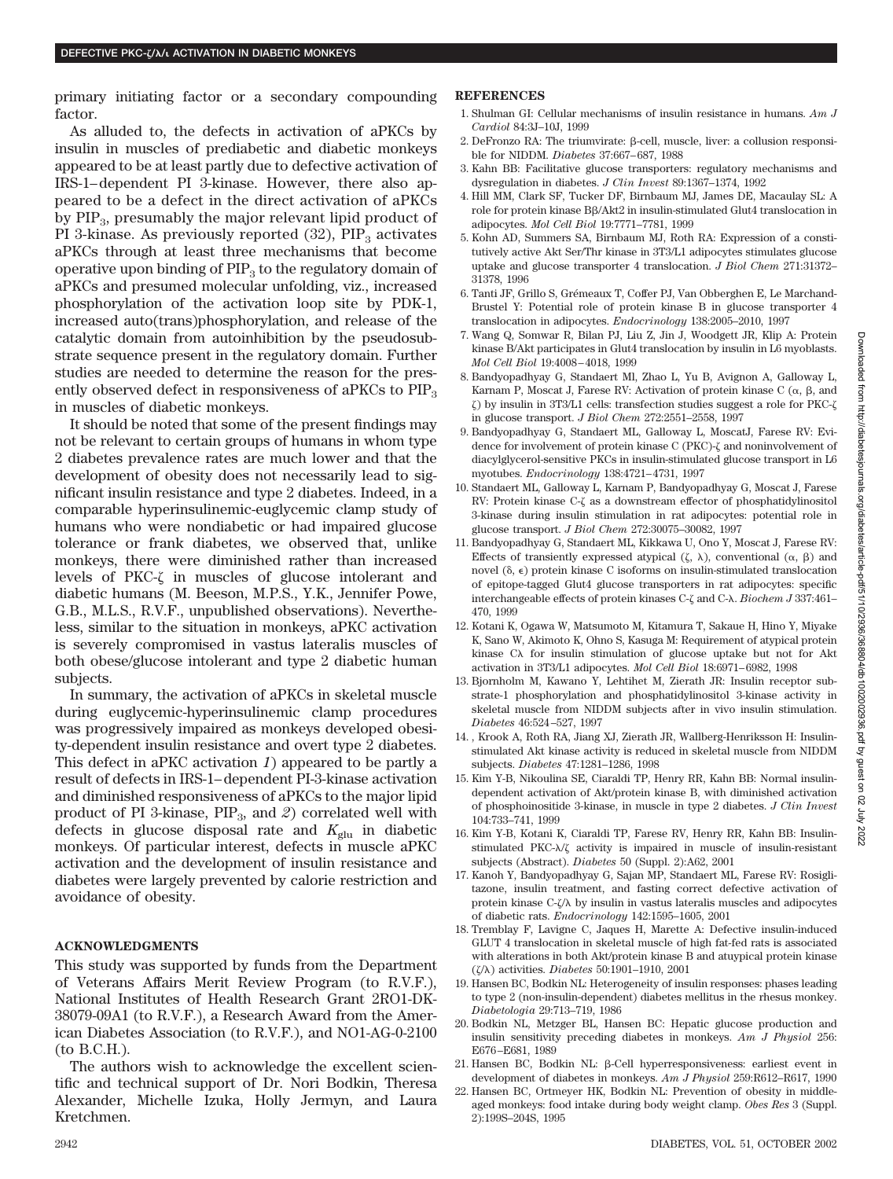primary initiating factor or a secondary compounding factor.

As alluded to, the defects in activation of aPKCs by insulin in muscles of prediabetic and diabetic monkeys appeared to be at least partly due to defective activation of IRS-1–dependent PI 3-kinase. However, there also appeared to be a defect in the direct activation of aPKCs by  $PIP_3$ , presumably the major relevant lipid product of PI 3-kinase. As previously reported  $(32)$ ,  $PIP<sub>3</sub>$  activates aPKCs through at least three mechanisms that become operative upon binding of  $PIP<sub>3</sub>$  to the regulatory domain of aPKCs and presumed molecular unfolding, viz., increased phosphorylation of the activation loop site by PDK-1, increased auto(trans)phosphorylation, and release of the catalytic domain from autoinhibition by the pseudosubstrate sequence present in the regulatory domain. Further studies are needed to determine the reason for the presently observed defect in responsiveness of aPKCs to PIP<sub>3</sub> in muscles of diabetic monkeys.

It should be noted that some of the present findings may not be relevant to certain groups of humans in whom type 2 diabetes prevalence rates are much lower and that the development of obesity does not necessarily lead to significant insulin resistance and type 2 diabetes. Indeed, in a comparable hyperinsulinemic-euglycemic clamp study of humans who were nondiabetic or had impaired glucose tolerance or frank diabetes, we observed that, unlike monkeys, there were diminished rather than increased levels of PKC- $\zeta$  in muscles of glucose intolerant and diabetic humans (M. Beeson, M.P.S., Y.K., Jennifer Powe, G.B., M.L.S., R.V.F., unpublished observations). Nevertheless, similar to the situation in monkeys, aPKC activation is severely compromised in vastus lateralis muscles of both obese/glucose intolerant and type 2 diabetic human subjects.

In summary, the activation of aPKCs in skeletal muscle during euglycemic-hyperinsulinemic clamp procedures was progressively impaired as monkeys developed obesity-dependent insulin resistance and overt type 2 diabetes. This defect in aPKC activation *1*) appeared to be partly a result of defects in IRS-1–dependent PI-3-kinase activation and diminished responsiveness of aPKCs to the major lipid product of PI 3-kinase, PIP<sub>3</sub>, and 2) correlated well with defects in glucose disposal rate and  $K_{glu}$  in diabetic monkeys. Of particular interest, defects in muscle aPKC activation and the development of insulin resistance and diabetes were largely prevented by calorie restriction and avoidance of obesity.

#### **ACKNOWLEDGMENTS**

This study was supported by funds from the Department of Veterans Affairs Merit Review Program (to R.V.F.), National Institutes of Health Research Grant 2RO1-DK-38079-09A1 (to R.V.F.), a Research Award from the American Diabetes Association (to R.V.F.), and NO1-AG-0-2100 (to B.C.H.).

The authors wish to acknowledge the excellent scientific and technical support of Dr. Nori Bodkin, Theresa Alexander, Michelle Izuka, Holly Jermyn, and Laura Kretchmen.

#### **REFERENCES**

- 1. Shulman GI: Cellular mechanisms of insulin resistance in humans. *Am J Cardiol* 84:3J–10J, 1999
- $2.$  DeFronzo RA: The triumvirate:  $\beta$ -cell, muscle, liver: a collusion responsible for NIDDM. *Diabetes* 37:667–687, 1988
- 3. Kahn BB: Facilitative glucose transporters: regulatory mechanisms and dysregulation in diabetes. *J Clin Invest* 89:1367–1374, 1992
- 4. Hill MM, Clark SF, Tucker DF, Birnbaum MJ, James DE, Macaulay SL: A role for protein kinase Bβ/Akt2 in insulin-stimulated Glut4 translocation in adipocytes. *Mol Cell Biol* 19:7771–7781, 1999
- 5. Kohn AD, Summers SA, Birnbaum MJ, Roth RA: Expression of a constitutively active Akt Ser/Thr kinase in 3T3/L1 adipocytes stimulates glucose uptake and glucose transporter 4 translocation. *J Biol Chem* 271:31372– 31378, 1996
- 6. Tanti JF, Grillo S, Grémeaux T, Coffer PJ, Van Obberghen E, Le Marchand-Brustel Y: Potential role of protein kinase B in glucose transporter 4 translocation in adipocytes. *Endocrinology* 138:2005–2010, 1997
- 7. Wang Q, Somwar R, Bilan PJ, Liu Z, Jin J, Woodgett JR, Klip A: Protein kinase B/Akt participates in Glut4 translocation by insulin in L6 myoblasts. *Mol Cell Biol* 19:4008–4018, 1999
- 8. Bandyopadhyay G, Standaert Ml, Zhao L, Yu B, Avignon A, Galloway L, Karnam P, Moscat J, Farese RV: Activation of protein kinase C  $(\alpha, \beta, \text{and})$  $\zeta$ ) by insulin in 3T3/L1 cells: transfection studies suggest a role for PKC- $\zeta$ in glucose transport. *J Biol Chem* 272:2551–2558, 1997
- 9. Bandyopadhyay G, Standaert ML, Galloway L, MoscatJ, Farese RV: Evidence for involvement of protein kinase C (PKC)- $\zeta$  and noninvolvement of diacylglycerol-sensitive PKCs in insulin-stimulated glucose transport in L6 myotubes. *Endocrinology* 138:4721–4731, 1997
- 10. Standaert ML, Galloway L, Karnam P, Bandyopadhyay G, Moscat J, Farese RV: Protein kinase C- $\zeta$  as a downstream effector of phosphatidylinositol 3-kinase during insulin stimulation in rat adipocytes: potential role in glucose transport. *J Biol Chem* 272:30075–30082, 1997
- 11. Bandyopadhyay G, Standaert ML, Kikkawa U, Ono Y, Moscat J, Farese RV: Effects of transiently expressed atypical  $(\zeta, \lambda)$ , conventional  $(\alpha, \beta)$  and novel  $(\delta, \epsilon)$  protein kinase C isoforms on insulin-stimulated translocation of epitope-tagged Glut4 glucose transporters in rat adipocytes: specific interchangeable effects of protein kinases C- $\zeta$  and C- $\lambda$ . *Biochem J* 337:461-470, 1999
- 12. Kotani K, Ogawa W, Matsumoto M, Kitamura T, Sakaue H, Hino Y, Miyake K, Sano W, Akimoto K, Ohno S, Kasuga M: Requirement of atypical protein kinase  $C\lambda$  for insulin stimulation of glucose uptake but not for Akt activation in 3T3/L1 adipocytes. *Mol Cell Biol* 18:6971–6982, 1998
- 13. Bjornholm M, Kawano Y, Lehtihet M, Zierath JR: Insulin receptor substrate-1 phosphorylation and phosphatidylinositol 3-kinase activity in skeletal muscle from NIDDM subjects after in vivo insulin stimulation. *Diabetes* 46:524–527, 1997
- 14. , Krook A, Roth RA, Jiang XJ, Zierath JR, Wallberg-Henriksson H: Insulinstimulated Akt kinase activity is reduced in skeletal muscle from NIDDM subjects. *Diabetes* 47:1281–1286, 1998
- 15. Kim Y-B, Nikoulina SE, Ciaraldi TP, Henry RR, Kahn BB: Normal insulindependent activation of Akt/protein kinase B, with diminished activation of phosphoinositide 3-kinase, in muscle in type 2 diabetes. *J Clin Invest* 104:733–741, 1999
- 16. Kim Y-B, Kotani K, Ciaraldi TP, Farese RV, Henry RR, Kahn BB: Insulinstimulated PKC- $\lambda/\zeta$  activity is impaired in muscle of insulin-resistant subjects (Abstract). *Diabetes* 50 (Suppl. 2):A62, 2001
- 17. Kanoh Y, Bandyopadhyay G, Sajan MP, Standaert ML, Farese RV: Rosiglitazone, insulin treatment, and fasting correct defective activation of protein kinase  $C-\zeta/\lambda$  by insulin in vastus lateralis muscles and adipocytes of diabetic rats. *Endocrinology* 142:1595–1605, 2001
- 18. Tremblay F, Lavigne C, Jaques H, Marette A: Defective insulin-induced GLUT 4 translocation in skeletal muscle of high fat-fed rats is associated with alterations in both Akt/protein kinase B and atuypical protein kinase (/) activities. *Diabetes* 50:1901–1910, 2001
- 19. Hansen BC, Bodkin NL: Heterogeneity of insulin responses: phases leading to type 2 (non-insulin-dependent) diabetes mellitus in the rhesus monkey. *Diabetologia* 29:713–719, 1986
- 20. Bodkin NL, Metzger BL, Hansen BC: Hepatic glucose production and insulin sensitivity preceding diabetes in monkeys. *Am J Physiol* 256: E676–E681, 1989
- 21. Hansen BC, Bodkin NL: β-Cell hyperresponsiveness: earliest event in development of diabetes in monkeys. *Am J Physiol* 259:R612–R617, 1990
- 22. Hansen BC, Ortmeyer HK, Bodkin NL: Prevention of obesity in middleaged monkeys: food intake during body weight clamp. *Obes Res* 3 (Suppl. 2):199S–204S, 1995